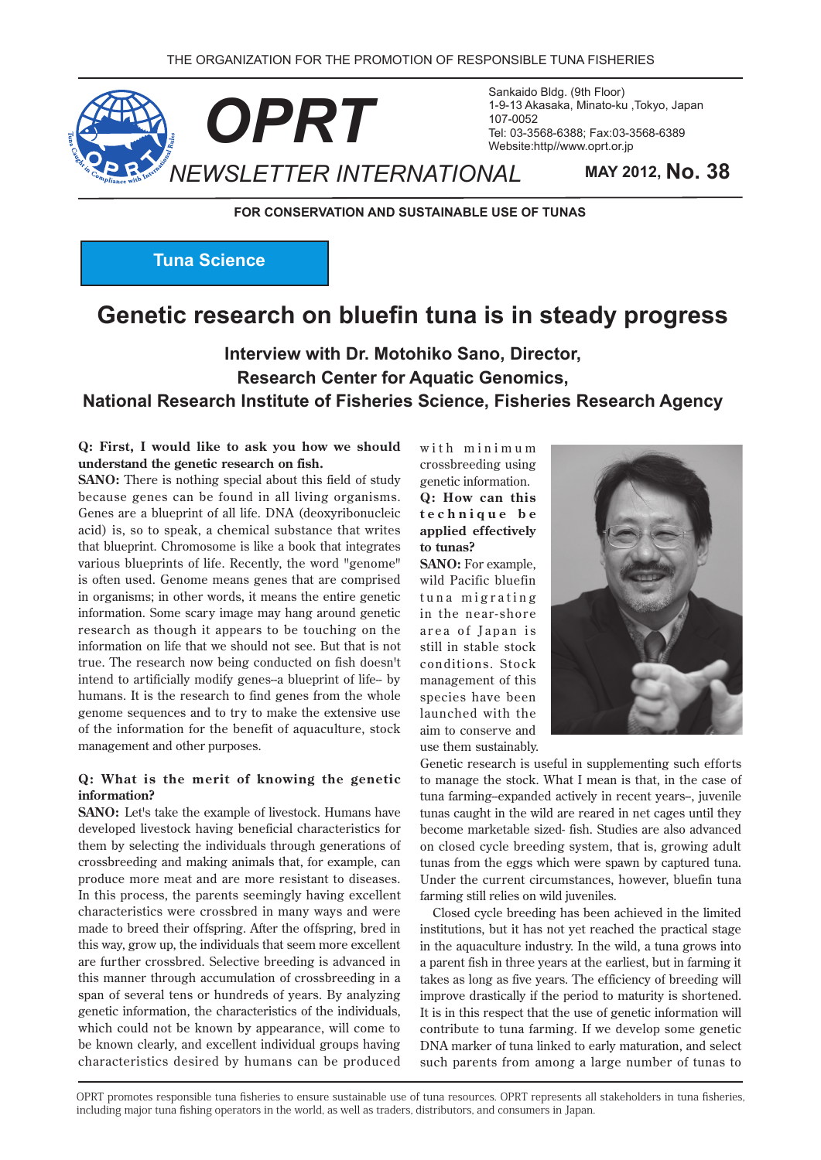

Sankaido Bldg. (9th Floor) 1-9-13 Akasaka, Minato-ku, Tokyo, Japan 107-0052 Tel: 03-3568-6388; Fax: 03-3568-6389 Website:http//www.oprt.or.jp

**FOR CONSERVATION AND SUSTAINABLE USE OF TUNAS** 

**Tuna Science** 

# **Genetic research on bluefin tuna is in steady progress**

# Interview with Dr. Motohiko Sano, Director, **Research Center for Aquatic Genomics. National Research Institute of Fisheries Science, Fisheries Research Agency**

#### **Q: First, I would like to ask you how we should** understand the genetic research on fish.

**SANO:** There is nothing special about this field of study because genes can be found in all living organisms. Genes are a blueprint of all life. DNA (deoxyribonucleic acid) is, so to speak, a chemical substance that writes that blueprint. Chromosome is like a book that integrates various blueprints of life. Recently, the word "genome" is often used. Genome means genes that are comprised in organisms; in other words, it means the entire genetic information. Some scary image may hang around genetic research as though it appears to be touching on the information on life that we should not see. But that is not true. The research now being conducted on fish doesn't intend to artificially modify genes-a blueprint of life- by humans. It is the research to find genes from the whole genome sequences and to try to make the extensive use of the information for the benefit of aquaculture, stock management and other purposes.

#### **Q:** What is the merit of knowing the genetic **?information**

**SANO**: Let's take the example of livestock. Humans have developed livestock having beneficial characteristics for them by selecting the individuals through generations of crossbreeding and making animals that, for example, can produce more meat and are more resistant to diseases. In this process, the parents seemingly having excellent characteristics were crossbred in many ways and were made to breed their offspring. After the offspring, bred in this way, grow up, the individuals that seem more excellent are further crossbred. Selective breeding is advanced in this manner through accumulation of crossbreeding in a span of several tens or hundreds of years. By analyzing genetic information, the characteristics of the individuals, which could not be known by appearance, will come to be known clearly, and excellent individual groups having characteristics desired by humans can be produced

with minimum crossbreeding using genetic information. **Q**: How can this  $technique$  be applied effectively to tunas?

SANO: For example, wild Pacific bluefin tuna migrating in the near-shore area of Japan is still in stable stock conditions. Stock management of this species have been launched with the aim to conserve and use them sustainably.



Genetic research is useful in supplementing such efforts to manage the stock. What I mean is that, in the case of tuna farming--expanded actively in recent years--, juvenile tunas caught in the wild are reared in net cages until they become marketable sized- fish. Studies are also advanced on closed cycle breeding system, that is, growing adult tunas from the eggs which were spawn by captured tuna. Under the current circumstances, however, bluefin tuna farming still relies on wild juveniles.

Closed cycle breeding has been achieved in the limited institutions, but it has not yet reached the practical stage in the aquaculture industry. In the wild, a tuna grows into a parent fish in three years at the earliest, but in farming it takes as long as five years. The efficiency of breeding will improve drastically if the period to maturity is shortened. It is in this respect that the use of genetic information will contribute to tuna farming. If we develop some genetic DNA marker of tuna linked to early maturation, and select such parents from among a large number of tunas to

OPRT promotes responsible tuna fisheries to ensure sustainable use of tuna resources. OPRT represents all stakeholders in tuna fisheries. including major tuna fishing operators in the world, as well as traders, distributors, and consumers in Japan.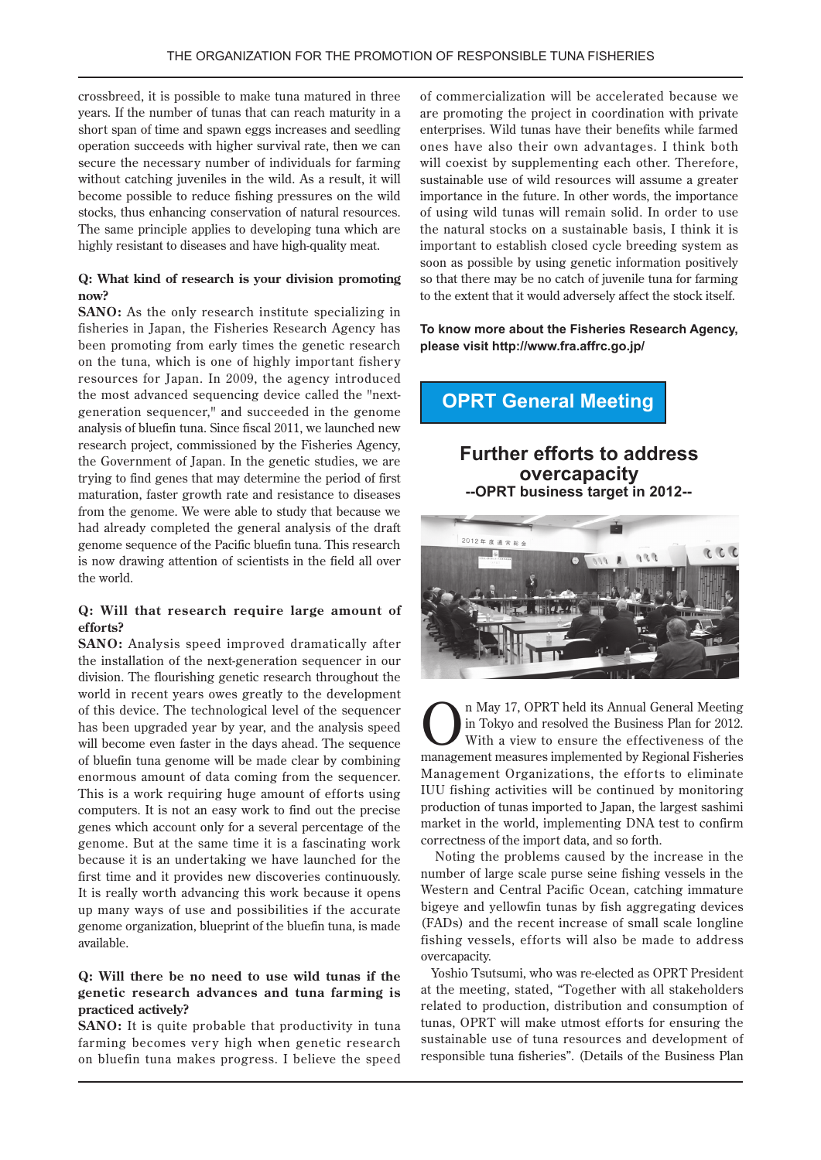crossbreed, it is possible to make tuna matured in three years. If the number of tunas that can reach maturity in a short span of time and spawn eggs increases and seedling operation succeeds with higher survival rate, then we can secure the necessary number of individuals for farming without catching juveniles in the wild. As a result, it will become possible to reduce fishing pressures on the wild stocks, thus enhancing conservation of natural resources. The same principle applies to developing tuna which are highly resistant to diseases and have high-quality meat.

### **Q:** What kind of research is your division promoting **?now**

**SANO**: As the only research institute specializing in fisheries in Japan, the Fisheries Research Agency has been promoting from early times the genetic research on the tuna, which is one of highly important fishery resources for Japan. In 2009, the agency introduced generation sequencer," and succeeded in the genome the most advanced sequencing device called the "nextanalysis of bluefin tuna. Since fiscal 2011, we launched new research project, commissioned by the Fisheries Agency, the Government of Japan. In the genetic studies, we are trying to find genes that may determine the period of first maturation, faster growth rate and resistance to diseases from the genome. We were able to study that because we had already completed the general analysis of the draft genome sequence of the Pacific bluefin tuna. This research is now drawing attention of scientists in the field all over the world.

### **Q:** Will that research require large amount of **?efforts**

**SANO**: Analysis speed improved dramatically after the installation of the next-generation sequencer in our division. The flourishing genetic research throughout the world in recent years owes greatly to the development of this device. The technological level of the sequencer has been upgraded year by year, and the analysis speed will become even faster in the days ahead. The sequence of bluefin tuna genome will be made clear by combining enormous amount of data coming from the sequencer. This is a work requiring huge amount of efforts using computers. It is not an easy work to find out the precise genes which account only for a several percentage of the genome. But at the same time it is a fascinating work because it is an undertaking we have launched for the first time and it provides new discoveries continuously. It is really worth advancing this work because it opens up many ways of use and possibilities if the accurate genome organization, blueprint of the bluefin tuna, is made .available

#### **Q:** Will there be no need to use wild tunas if the genetic research advances and tuna farming is **practiced** actively?

**SANO:** It is quite probable that productivity in tuna farming becomes very high when genetic research on bluefin tuna makes progress. I believe the speed of commercialization will be accelerated because we are promoting the project in coordination with private enterprises. Wild tunas have their benefits while farmed ones have also their own advantages. I think both will coexist by supplementing each other. Therefore, sustainable use of wild resources will assume a greater importance in the future. In other words, the importance of using wild tunas will remain solid. In order to use the natural stocks on a sustainable basis, I think it is important to establish closed cycle breeding system as soon as possible by using genetic information positively so that there may be no catch of juvenile tuna for farming to the extent that it would adversely affect the stock itself.

### To know more about the Fisheries Research Agency, please visit http://www.fra.affrc.go.jp/

# **OPRT General Meeting**

### **Further efforts to address overcapacity 2012-- 2017 - 2017**



**Case of the U.S. COPRT** held its Annual General Meeting<br>in Tokyo and resolved the Business Plan for 2012.<br>With a view to ensure the effectiveness of the<br>monogram at magazing implemented by Beginnal Einharian in Tokyo and resolved the Business Plan for 2012. management measures implemented by Regional Fisheries Management Organizations, the efforts to eliminate IUU fishing activities will be continued by monitoring production of tunas imported to Japan, the largest sashimi market in the world, implementing DNA test to confirm correctness of the import data, and so forth.

Noting the problems caused by the increase in the number of large scale purse seine fishing vessels in the Western and Central Pacific Ocean, catching immature bigeye and yellowfin tunas by fish aggregating devices (FADs) and the recent increase of small scale longline fishing vessels, efforts will also be made to address overcapacity.

Yoshio Tsutsumi, who was re-elected as OPRT President at the meeting, stated, "Together with all stakeholders related to production, distribution and consumption of tunas, OPRT will make utmost efforts for ensuring the sustainable use of tuna resources and development of responsible tuna fisheries". (Details of the Business Plan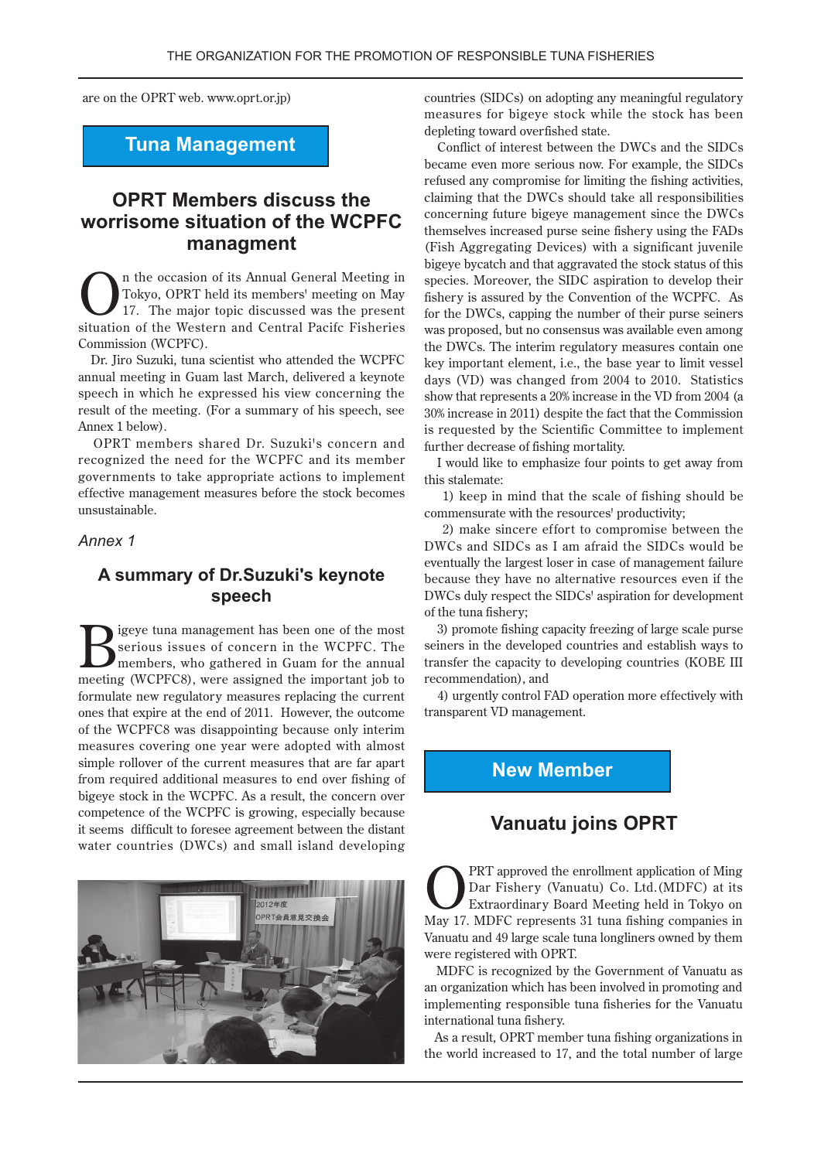are on the OPRT web. www.oprt.or.jp)

### **Tuna Management**

## **OPRT Members discuss the worrisome situation of the WCPFC managment**

In the occasion of its Annual General Meeting in<br>Tokyo, OPRT held its members' meeting on May<br>17. The major topic discussed was the present<br>situation of the Western and Control Bosife Fiberian Tokyo, OPRT held its members' meeting on May 17. The major topic discussed was the present situation of the Western and Central Pacifc Fisheries Commission (WCPFC).

Dr. Iiro Suzuki, tuna scientist who attended the WCPFC annual meeting in Guam last March, delivered a keynote speech in which he expressed his view concerning the result of the meeting. (For a summary of his speech, see Annex 1 below).

OPRT members shared Dr. Suzuki's concern and recognized the need for the WCPFC and its member governments to take appropriate actions to implement effective management measures before the stock becomes .unsustainable

#### *1 Annex*

### **A summary of Dr. Suzuki's keynote speech**

Survey tuna management has been one of the most<br>
members, who gathered in Guam for the annual<br>
mention (WCDEC) was essigned the interpret in the serious issues of concern in the WCPFC. The meeting (WCPFC8), were assigned the important job to formulate new regulatory measures replacing the current ones that expire at the end of 2011. However, the outcome of the WCPFC8 was disappointing because only interim measures covering one year were adopted with almost simple rollover of the current measures that are far apart from required additional measures to end over fishing of bigeye stock in the WCPFC. As a result, the concern over competence of the WCPFC is growing, especially because it seems difficult to foresee agreement between the distant water countries (DWCs) and small island developing



countries (SIDCs) on adopting any meaningful regulatory measures for bigeye stock while the stock has been depleting toward overfished state.

Conflict of interest between the DWCs and the SIDCs became even more serious now. For example, the SIDCs refused any compromise for limiting the fishing activities, claiming that the DWCs should take all responsibilities concerning future bigeye management since the DWCs themselves increased purse seine fishery using the FADs (Fish Aggregating Devices) with a significant juvenile bigeye bycatch and that aggravated the stock status of this species. Moreover, the SIDC aspiration to develop their fishery is assured by the Convention of the WCPFC. As for the DWCs, capping the number of their purse seiners was proposed, but no consensus was available even among the DWCs. The interim regulatory measures contain one key important element, i.e., the base year to limit vessel days (VD) was changed from  $2004$  to  $2010$ . Statistics show that represents a 20% increase in the VD from 2004 (a  $30\%$  increase in 2011) despite the fact that the Commission is requested by the Scientific Committee to implement further decrease of fishing mortality.

I would like to emphasize four points to get away from this stalemate:

1) keep in mind that the scale of fishing should be commensurate with the resources' productivity;

2) make sincere effort to compromise between the DWCs and SIDCs as I am afraid the SIDCs would be eventually the largest loser in case of management failure because they have no alternative resources even if the DWCs duly respect the SIDCs' aspiration for development of the tuna fishery:

3) promote fishing capacity freezing of large scale purse seiners in the developed countries and establish ways to transfer the capacity to developing countries (KOBE III recommendation), and

4) urgently control FAD operation more effectively with transparent VD management.

### **New Member**

### **Vanuatu joins OPRT**

PRT approved the enrollment application of Ming Dar Fishery (Vanuatu) Co. Ltd. (MDFC) at its Extraordinary Board Meeting held in Tokyo on May 17. MDFC represents 31 tuna fishing companies in Vanuatu and 49 large scale tuna longliners owned by them were registered with OPRT.

MDFC is recognized by the Government of Vanuatu as an organization which has been involved in promoting and implementing responsible tuna fisheries for the Vanuatu international tuna fishery.

As a result, OPRT member tuna fishing organizations in the world increased to 17, and the total number of large